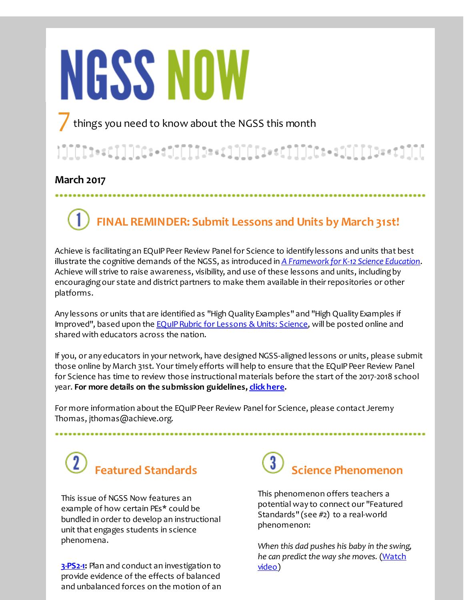# **NGSS NOW**

things you need to know about the NGSS this month

## 

### **March 2017**

# **FINAL REMINDER: Submit Lessons and Units by March 31st!**

Achieve is facilitating an EQuIP Peer Review Panel for Science to identify lessons and units that best illustrate the cognitive demands of the NGSS, as introduced in *A [Framework](http://r20.rs6.net/tn.jsp?f=001NevyaIm6UjLRVqrTrNEqNFMTVcBguQIRZD1CWTdHoo2Zfv2t8vM0vTPhao4zpRqL_fq2anwa6KItmu2F-io_YZdUHSpqmqTaSgyKp-S4cWIpxqry2LZrTwPfgz7A8cjSa8FgkPiUKCFajWFAnx37QUJ6HNqEKGMtPG6bgDttplp9ypzkggkEPmhsvyVegLK7qxHQ5wf6ape-h6xImDWKsUZOWsyYzHwQS05qZwk4ux8ZgqcBTAlk5_1XSH_r4DbF&c=&ch=) for K-12 Science Education*. Achieve will strive to raise awareness, visibility, and use of these lessons and units, includingby encouragingour state and district partners to make them available in their repositories or other platforms.

Any lessons or units that are identified as "High Quality Examples" and "High Quality Examples if Improved", based upon the **EQuIP Rubric for Lessons & Units: Science**, will be posted online and shared with educators across the nation.

If you, or any educators in your network, have designed NGSS-aligned lessons or units, please submit those online by March 31st. Your timely efforts will help to ensure that the EQuIP Peer Review Panel for Science has time to review those instructional materials before the start of the 2017-2018 school year. **For more details on the submission guidelines, click [here](http://r20.rs6.net/tn.jsp?f=001NevyaIm6UjLRVqrTrNEqNFMTVcBguQIRZD1CWTdHoo2Zfv2t8vM0vbIUU9c8HFdkk4HxprHgcpYT7KTuqq64jmksMWkFMSjvwWQhaOTmPuVD7KLvXUyWlLY1Fjqcm5w0l4gwSc9sNL9kuDIY8LCfRs3EyKfZ1c2jtqOuvj2JD_h3K6UD8zLS5Zy34rW06gWvTXU2kOScG6SxnLSnkTJZkg==&c=&ch=).**

For more information about the EQuIP Peer Review Panel for Science, please contact Jeremy Thomas, jthomas@achieve.org.

# **Featured Standards**

This issue of NGSS Now features an example of how certain PEs\* could be bundled in order to develop an instructional unit that engages students in science phenomena.

**[3-PS2-1](http://r20.rs6.net/tn.jsp?f=001NevyaIm6UjLRVqrTrNEqNFMTVcBguQIRZD1CWTdHoo2Zfv2t8vM0vfscnKBBK_-CsojYTEE9pP8Hb86U8PSrnKVlgj6-7xtEfpiNCWzBflElpG0r81ntKY_bltCNYtY4EgPgsm68wksM_G0lTGYns75vPP4whgD-8Oq7vad-mgUHhfXCQzly_60sDBFfiDEokSLuXiXRhs35w9lCK9PswI_sVtn64wTwaaqFupsz9NOaYLUM_Pt91gP3MdGv_F5n&c=&ch=):** Plan and conduct an investigation to provide evidence of the effects of balanced and unbalanced forces on the motion of an

### $\overline{3}$ **Science Phenomenon**

This phenomenon offers teachers a potential way to connect our "Featured Standards" (see #2) to a real-world phenomenon:

*When this dad pushes his baby in the swing, he can predict the way she moves.* (Watch video)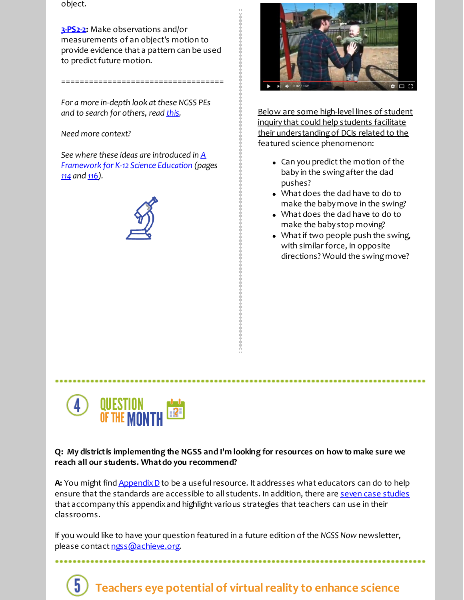object.

**[3-PS2-2](http://r20.rs6.net/tn.jsp?f=001NevyaIm6UjLRVqrTrNEqNFMTVcBguQIRZD1CWTdHoo2Zfv2t8vM0vfscnKBBK_-ChqHA-kVYQszm48EMIvuUqOfg5tm31iFanbCcBvnPDM3VSmQ6Xk76G0E384We6IAgn9BZr1WlXmZ84oo6gGeZlMFbMhhWATPdNotPImINAp4ot9v9RllYy3JQKAfBT1QwSoj71i3nkOjolLhvw9BmUZwqKeguoZZ1Wx-AwXbAXNmXOthYbYyQRVmgWMTW5JBK&c=&ch=):** Make observations and/or measurements of an object's motion to provide evidence that a pattern can be used to predict future motion.

===================================

*For a more in-depth look atthese NGSS PEs and to search for others, read [this](http://r20.rs6.net/tn.jsp?f=001NevyaIm6UjLRVqrTrNEqNFMTVcBguQIRZD1CWTdHoo2Zfv2t8vM0vTPhao4zpRqLN9k6n28GJ0worp2yyt3fJhM_6QOsdh0PuaAz6qv8Xx2lE0ZRm8GXp7_ZT7d-sBHpQ4CeEusj9H2wKnvx_Rtq3c7dbrUmPxN3vYG1KwAPHKkFLuLkTbFTgpSXiBLvkEgcHt79lKKVNuU=&c=&ch=).*

*Need more context?*

*See where these ideas are introduced in A [Framework](http://r20.rs6.net/tn.jsp?f=001NevyaIm6UjLRVqrTrNEqNFMTVcBguQIRZD1CWTdHoo2Zfv2t8vM0vbIUU9c8HFdkbI9kDOrV2L-tBU2vksvjgALz4gfw0VspGhkSKbPs82obUaeZFOOfD-LZBmLUVD3UQSzE0B3mDcRzB4yvNc5ZO6UVBruxpeNqQ4NO6bhukZyFWBqCJyDj4hUkdtpJZ36An1ChESy6Fqk4MZaKsW6LOdFwcw3Owf8h2-oV9MFYpPY8S21u-JW3W9mXByhm1UUTjtCvGnOJ27R2Ps4vV2bP2rnYZsNcRAaa&c=&ch=) for K-12 Science Education (pages [114](http://r20.rs6.net/tn.jsp?f=001NevyaIm6UjLRVqrTrNEqNFMTVcBguQIRZD1CWTdHoo2Zfv2t8vM0vfscnKBBK_-CpS5aizPZClTQ0rBZCu9bdUxCnaqkC2LEFLDMm5uGGvNEBxXStdfE8KYkGbqUfHSQ6XRG_yiELe9DxmkKdsJsu_yoUP2Oy28b4eToUR8-ZPGlvWO6V2Cqr42pZVfw_yCeW4Zesix1gLKosfGHxgEWtQ==&c=&ch=) and [116](http://r20.rs6.net/tn.jsp?f=001NevyaIm6UjLRVqrTrNEqNFMTVcBguQIRZD1CWTdHoo2Zfv2t8vM0vfscnKBBK_-CfHiH_X9a5yoooe0BDv-OBSCzO04Hv-S53gRYxOAx5_TK-ND85P0sGRKv1_n2qfNWdQOx2FHXL1m4-JnVt3V90xBiezEqG6DlhLbnmk4xWDZulN9fDLx7LmFeXX6vibcXcr5gdcJiXJeGqeQoQpZ5HA==&c=&ch=)).*





Below are some high-level lines of student inquiry that could help students facilitate their understandingof DCIs related to the featured science phenomenon:

- $\bullet$  Can you predict the motion of the baby in the swingafter the dad pushes?
- What does the dad have to do to make the baby move in the swing?
- What does the dad have to do to make the baby stop moving?
- What if two people push the swing, with similar force, in opposite directions? Would the swingmove?



#### **Q: My districtis implementing the NGSS and I'm looking for resources on howto make sure we reach all our students. Whatdo you recommend?**

A: You might find Appendix D to be a useful resource. It addresses what educators can do to help ensure that the standards are accessible to all students. In addition, there are seven case [studies](http://r20.rs6.net/tn.jsp?f=001NevyaIm6UjLRVqrTrNEqNFMTVcBguQIRZD1CWTdHoo2Zfv2t8vM0vaq4XNtcfCBMRQujWJvDOIBvzgwpdsRzs92_si-v6nMBDbxMWW8B5f7ZIGtLG6j2Jqgyca_RbjsHv6D0utT6A6eVbN40jcpulL48V3HKwivKYBDKG8ZpuICgvmqmEmyytMtk2nNzQWd_I62swxV-V68bUQzkzr6woQ==&c=&ch=) that accompany this appendix and highlight various strategies that teachers can use in their classrooms.

If you would like to have your question featured in a future edition of the *NGSS Now* newsletter, please contact [ngss@achieve.org](mailto:ngss@achieve.org).

### **Teachers eye potential of virtualreality to enhance science**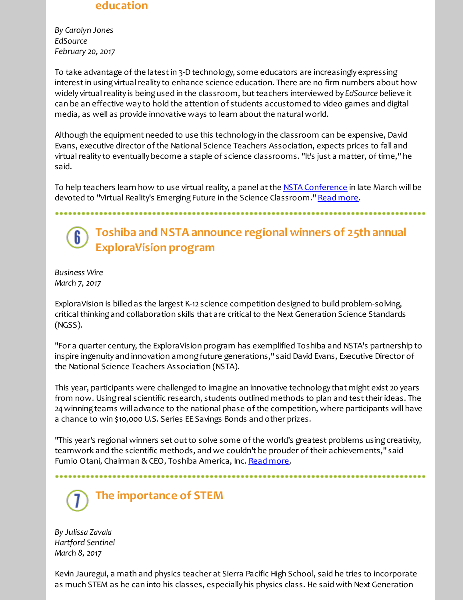### **education**

*By Carolyn Jones EdSource February 20, 2017*

To take advantage of the latest in 3-D technology, some educators are increasingly expressing interest in using virtual reality to enhance science education. There are no firm numbers about how widely virtual reality is being used in the classroom, but teachers interviewed by *EdSource* believe it can be an effective way to hold the attention of students accustomed to video games and digital media, as well as provide innovative ways to learn about the natural world.

Although the equipment needed to use this technology in the classroom can be expensive, David Evans, executive director of the National Science Teachers Association, expects prices to fall and virtual reality to eventually become a staple of science classrooms. "It's just a matter, of time," he said.

To help teachers learn how to use virtual reality, a panel at the NSTA [Conference](http://r20.rs6.net/tn.jsp?f=001NevyaIm6UjLRVqrTrNEqNFMTVcBguQIRZD1CWTdHoo2Zfv2t8vM0vfscnKBBK_-CTGVJvBXe7h68OQdUmlBEaV2uT_xaP23XmAD2YzvAwHTgQSIqK7y0sFqafvUhHaAZDtJ9bjqjoOBf18B93y09llyPy-C_CYLYaoUPoBik3dnsxjBjLyEf2rOOslTbqf1RxD2dCy-j9Ag=&c=&ch=) in late March will be devoted to "Virtual Reality's Emerging Future in the Science Classroom." Read [more](http://r20.rs6.net/tn.jsp?f=001NevyaIm6UjLRVqrTrNEqNFMTVcBguQIRZD1CWTdHoo2Zfv2t8vM0vfscnKBBK_-C-w4mXEJtoA4c17fOBhyINofEYb-yOc76P0jo5QL5M6vgYzDMJNpD9_q-xQUl7MZf3O15iixT9uOtc2GPUlp16uw2T3--9vhjQVZ7ALlmnIkonh6bLFqHnOFkvzj2e3gFurzYg685aJWw9eUkEMVjXucE8mr1HWTVQj0hvYsKRipU1ZIeNN9XelfUUF8JbGMsZyvNnDS7kSqrVi-rNwxNqMb5trBtEus6&c=&ch=).

**Toshiba and NSTA announce regional winners of 25th annual ExploraVision program**

*Business Wire March 7, 2017*

ExploraVision is billed as the largest K-12 science competition designed to build problem-solving, critical thinking and collaboration skills that are critical to the Next Generation Science Standards (NGSS).

"For a quarter century, the ExploraVision program has exemplified Toshiba and NSTA's partnership to inspire ingenuity and innovation amongfuture generations," said David Evans, Executive Director of the National Science Teachers Association (NSTA).

This year, participants were challenged to imagine an innovative technology that might exist 20 years from now. Usingreal scientific research, students outlined methods to plan and testtheir ideas. The 24winningteams will advance to the national phase of the competition, where participants will have a chance to win \$10,000 U.S. Series EE Savings Bonds and other prizes.

"This year's regional winners set out to solve some of the world's greatest problems using creativity, teamwork and the scientific methods, and we couldn't be prouder of their achievements," said Fumio Otani, Chairman & CEO, Toshiba America, Inc. Read [more](http://r20.rs6.net/tn.jsp?f=001NevyaIm6UjLRVqrTrNEqNFMTVcBguQIRZD1CWTdHoo2Zfv2t8vM0vfscnKBBK_-C5OGNNcgeJLXPivOfmHK4FVMoT08LLsqaLMt9A8mWpECCCAdt0TPDGf2xx_YGMysne4DEIvWAnnz4EFKe5bczJgMX0_9bWXHQ7vbz4DCuE7aZ5-mnO8sIzKXPyahyR8JOCB-f_4tCLc8gXHio0oW55D7NGuBwgBkKoKvL_uf5S74SCbXstszDhQiVx5dcMipbGrHPpaS5hfZvIDGzdYXp2RLYGBae2V4drevTOoaJu2C76CmTk1ML9w==&c=&ch=).

**The importance of STEM**

*By Julissa Zavala Hartford Sentinel March 8, 2017*

Kevin Jauregui, a math and physics teacher at Sierra Pacific High School, said he tries to incorporate as much STEM as he can into his classes, especially his physics class. He said with Next Generation